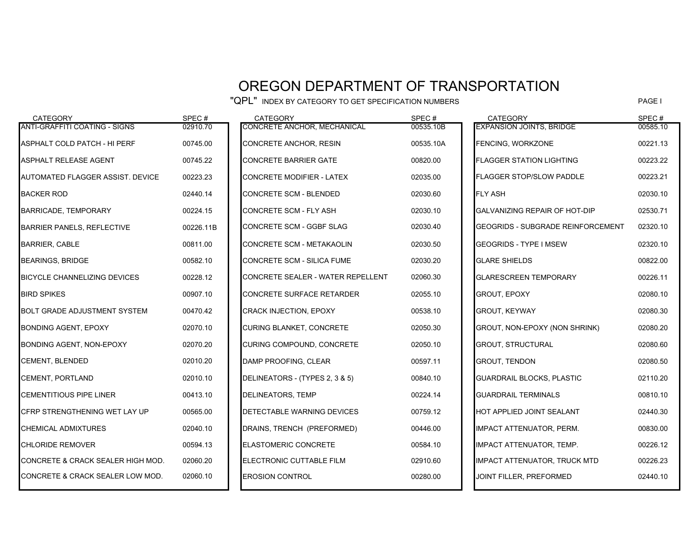## OREGON DEPARTMENT OF TRANSPORTATION

"QPL" INDEX BY CATEGORY TO GET SPECIFICATION NUMBERS

PAGE I

| 00585.10<br>00221.13<br>00223.22<br>00223.21<br>02030.10 |
|----------------------------------------------------------|
|                                                          |
|                                                          |
|                                                          |
|                                                          |
|                                                          |
| 02530.71                                                 |
| 02320.10                                                 |
| 02320.10                                                 |
| 00822.00                                                 |
| 00226.11                                                 |
| 02080.10                                                 |
| 02080.30                                                 |
| 02080.20                                                 |
| 02080.60                                                 |
| 02080.50                                                 |
| 02110.20                                                 |
| 00810.10                                                 |
| 02440.30                                                 |
| 00830.00                                                 |
| 00226.12                                                 |
| 00226.23                                                 |
| 02440.10                                                 |
|                                                          |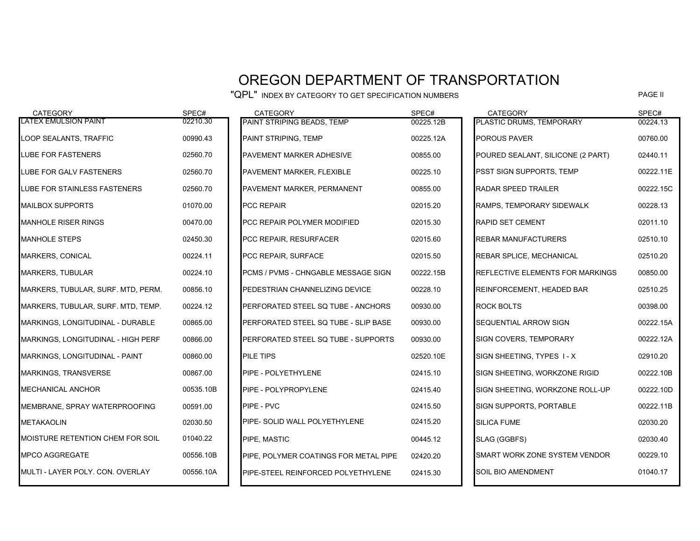## OREGON DEPARTMENT OF TRANSPORTATION

"QPL" INDEX BY CATEGORY TO GET SPECIFICATION NUMBERS

| <b>CATEGORY</b>                         | SPEC#     | <b>CATEGORY</b>                       | SPEC#     | <b>CATEGORY</b>                         | SPEC#     |
|-----------------------------------------|-----------|---------------------------------------|-----------|-----------------------------------------|-----------|
| <b>LATEX EMULSION PAINT</b>             | 02210.30  | PAINT STRIPING BEADS, TEMP            | 00225.12B | PLASTIC DRUMS, TEMPORARY                | 00224.13  |
| LOOP SEALANTS, TRAFFIC                  | 00990.43  | PAINT STRIPING, TEMP                  | 00225.12A | <b>POROUS PAVER</b>                     | 00760.00  |
| LUBE FOR FASTENERS                      | 02560.70  | PAVEMENT MARKER ADHESIVE              | 00855.00  | POURED SEALANT, SILICONE (2 PART)       | 02440.11  |
| LUBE FOR GALV FASTENERS                 | 02560.70  | PAVEMENT MARKER, FLEXIBLE             | 00225.10  | <b>PSST SIGN SUPPORTS, TEMP</b>         | 00222.11E |
| <b>LUBE FOR STAINLESS FASTENERS</b>     | 02560.70  | PAVEMENT MARKER, PERMANENT            | 00855.00  | <b>RADAR SPEED TRAILER</b>              | 00222.15C |
| <b>MAILBOX SUPPORTS</b>                 | 01070.00  | <b>PCC REPAIR</b>                     | 02015.20  | RAMPS, TEMPORARY SIDEWALK               | 00228.13  |
| <b>MANHOLE RISER RINGS</b>              | 00470.00  | PCC REPAIR POLYMER MODIFIED           | 02015.30  | <b>RAPID SET CEMENT</b>                 | 02011.10  |
| <b>MANHOLE STEPS</b>                    | 02450.30  | PCC REPAIR, RESURFACER                | 02015.60  | <b>REBAR MANUFACTURERS</b>              | 02510.10  |
| <b>MARKERS, CONICAL</b>                 | 00224.11  | PCC REPAIR, SURFACE                   | 02015.50  | <b>REBAR SPLICE, MECHANICAL</b>         | 02510.20  |
| <b>MARKERS, TUBULAR</b>                 | 00224.10  | PCMS / PVMS - CHNGABLE MESSAGE SIGN   | 00222.15B | <b>REFLECTIVE ELEMENTS FOR MARKINGS</b> | 00850.00  |
| MARKERS, TUBULAR, SURF. MTD, PERM.      | 00856.10  | PEDESTRIAN CHANNELIZING DEVICE        | 00228.10  | REINFORCEMENT, HEADED BAR               | 02510.25  |
| MARKERS, TUBULAR, SURF. MTD, TEMP.      | 00224.12  | PERFORATED STEEL SQ TUBE - ANCHORS    | 00930.00  | <b>ROCK BOLTS</b>                       | 00398.00  |
| MARKINGS, LONGITUDINAL - DURABLE        | 00865.00  | PERFORATED STEEL SQ TUBE - SLIP BASE  | 00930.00  | <b>SEQUENTIAL ARROW SIGN</b>            | 00222.15A |
| MARKINGS, LONGITUDINAL - HIGH PERF      | 00866.00  | PERFORATED STEEL SQ TUBE - SUPPORTS   | 00930.00  | <b>SIGN COVERS, TEMPORARY</b>           | 00222.12A |
| MARKINGS, LONGITUDINAL - PAINT          | 00860.00  | <b>PILE TIPS</b>                      | 02520.10E | SIGN SHEETING, TYPES 1-X                | 02910.20  |
| MARKINGS, TRANSVERSE                    | 00867.00  | PIPE - POLYETHYLENE                   | 02415.10  | SIGN SHEETING, WORKZONE RIGID           | 00222.10B |
| <b>MECHANICAL ANCHOR</b>                | 00535.10B | PIPE - POLYPROPYLENE                  | 02415.40  | SIGN SHEETING, WORKZONE ROLL-UP         | 00222.10D |
| MEMBRANE, SPRAY WATERPROOFING           | 00591.00  | PIPE - PVC                            | 02415.50  | SIGN SUPPORTS, PORTABLE                 | 00222.11B |
| <b>METAKAOLIN</b>                       | 02030.50  | PIPE- SOLID WALL POLYETHYLENE         | 02415.20  | <b>SILICA FUME</b>                      | 02030.20  |
| <b>MOISTURE RETENTION CHEM FOR SOIL</b> | 01040.22  | PIPE. MASTIC                          | 00445.12  | SLAG (GGBFS)                            | 02030.40  |
| <b>MPCO AGGREGATE</b>                   | 00556.10B | PIPE. POLYMER COATINGS FOR METAL PIPE | 02420.20  | SMART WORK ZONE SYSTEM VENDOR           | 00229.10  |
| MULTI - LAYER POLY. CON. OVERLAY        | 00556.10A | PIPE-STEEL REINFORCED POLYETHYLENE    | 02415.30  | <b>SOIL BIO AMENDMENT</b>               | 01040.17  |